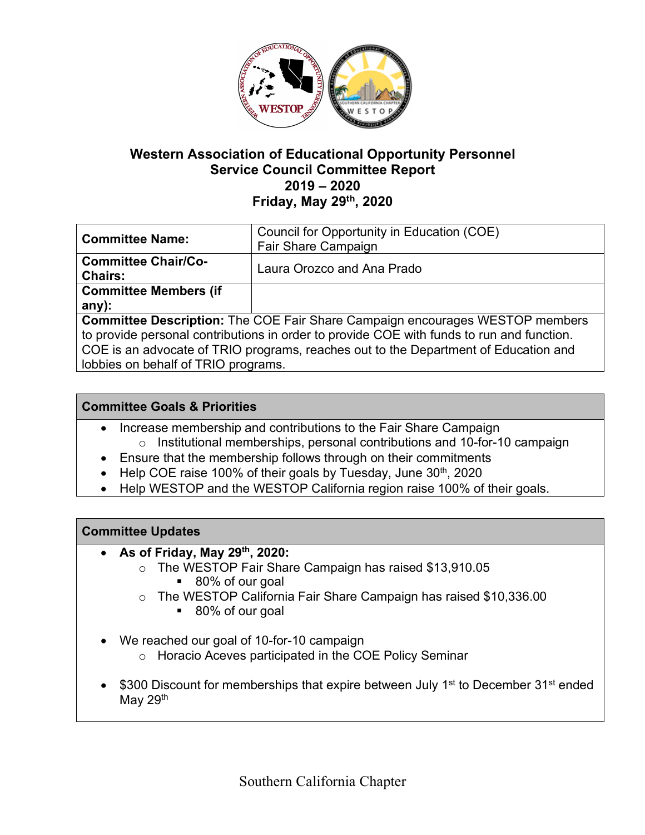

# **Western Association of Educational Opportunity Personnel Service Council Committee Report 2019 – 2020 Friday, May 29th, 2020**

| <b>Committee Name:</b>                                                                    | Council for Opportunity in Education (COE) |
|-------------------------------------------------------------------------------------------|--------------------------------------------|
|                                                                                           | Fair Share Campaign                        |
| <b>Committee Chair/Co-</b>                                                                | Laura Orozco and Ana Prado                 |
| <b>Chairs:</b>                                                                            |                                            |
| <b>Committee Members (if</b>                                                              |                                            |
| any):                                                                                     |                                            |
| <b>Committee Description:</b> The COE Fair Share Campaign encourages WESTOP members       |                                            |
| to provide personal contributions in order to provide COE with funds to run and function. |                                            |
| COE is an advocate of TRIO programs, reaches out to the Department of Education and       |                                            |
| lobbies on behalf of TRIO programs.                                                       |                                            |

## **Committee Goals & Priorities**

- Increase membership and contributions to the Fair Share Campaign o Institutional memberships, personal contributions and 10-for-10 campaign
- Ensure that the membership follows through on their commitments
- Help COE raise 100% of their goals by Tuesday, June 30<sup>th</sup>, 2020
- Help WESTOP and the WESTOP California region raise 100% of their goals.

### **Committee Updates**

- **As of Friday, May 29th, 2020:**
	- o The WESTOP Fair Share Campaign has raised \$13,910.05
		- 80% of our goal
	- o The WESTOP California Fair Share Campaign has raised \$10,336.00
		- 80% of our goal
- We reached our goal of 10-for-10 campaign
	- o Horacio Aceves participated in the COE Policy Seminar
- \$300 Discount for memberships that expire between July 1<sup>st</sup> to December 31<sup>st</sup> ended May 29<sup>th</sup>